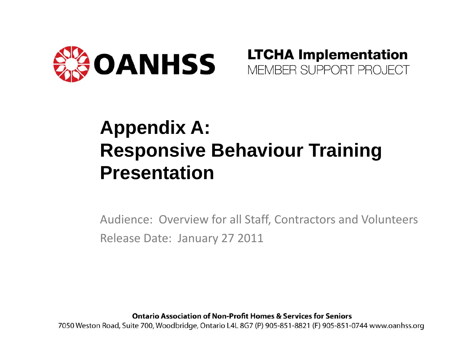



### **Appendix A: Responsive Behaviour Training Presentation**

Audience: Overview for all Staff, Contractors and Volunteers Release Date: January 27 2011

**Ontario Association of Non-Profit Homes & Services for Seniors** 

7050 Weston Road, Suite 700, Woodbridge, Ontario L4L 8G7 (P) 905-851-8821 (F) 905-851-0744 www.oanhss.org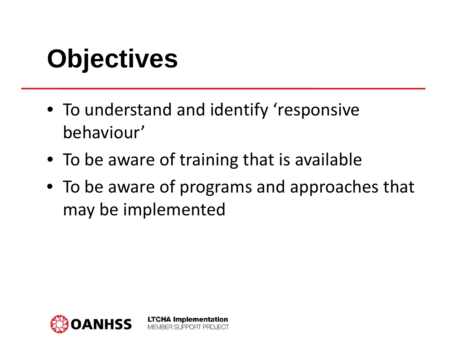# **Objectives**

- To understand and identify 'responsive behaviour'
- To be aware of training that is available

**LTCHA Implementation** MEMBER SUPPORT PROJECT

• To be aware of programs and approaches that may be implemented

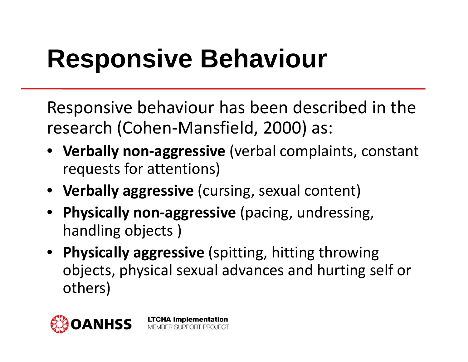### **Responsive Behaviour**

Responsive behaviour has been described in the research (Cohen ‐Mansfield, 2000) as:

- **Verbally non ‐aggressive** (verbal complaints, constant requests for attentions)
- **Verbally aggressive** (cursing, sexual content)
- **Physically non ‐aggressive** (pacing, undressing, handling objects )

**LTCHA Implementation** MEMBER SUPPORT PROJECT

• **Physically aggressive** (spitting, hitting throwing objects, physical sexual advances and hurting self or others)

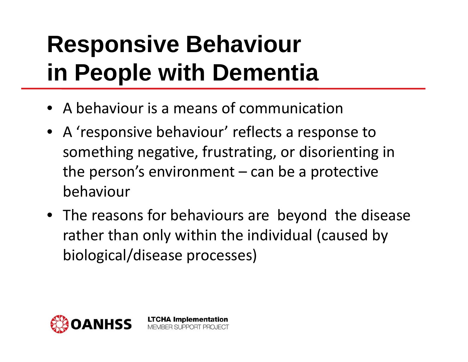### **Responsive Behaviour in People with Dementia**

• A behaviour is a means of communication

- A 'responsive behaviour' reflects a response to something negative, frustrating, or disorienting in the person's environment – can be a protective behaviour
- The reasons for behaviours are beyond the disease rather than only within the individual (caused by biological/disease processes)

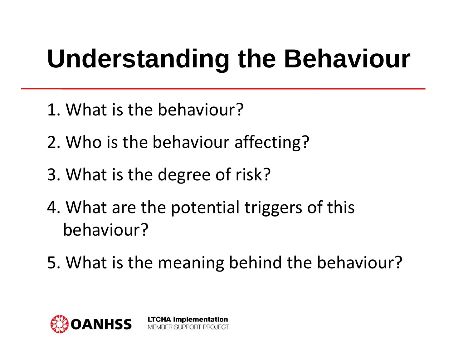# **Understanding the Behaviour**

- 1. What is the behaviour?
- 2. Who is the behaviour affecting?
- 3. What is the degree of risk?
- 4. What are the potential triggers of this behaviour?

**LTCHA Implementation** MEMBER SUPPORT PROJECT

5. What is the meaning behind the behaviour?

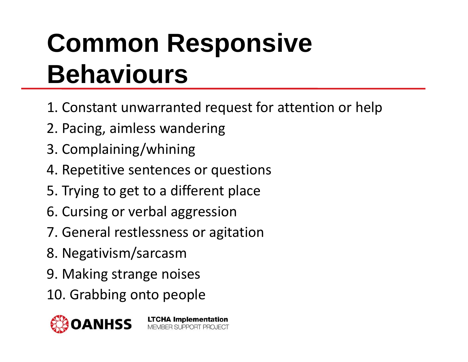# **Common Responsive Behaviours**

- 1. Constant unwarranted request for attention or help
- 2. Pacing, aimless wandering
- 3. Complaining/whining
- 4. Repetitive sentences or questions
- 5. Trying to get to a different place
- 6. Cursing or verbal aggression
- 7. General restlessness or agitation

- 8. Negativism/sarcasm
- 9. Making strange noises
- 10. Grabbing onto people

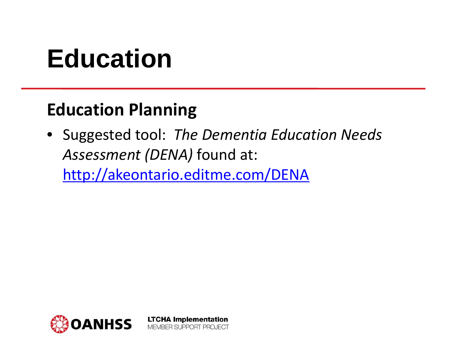### **Education**

#### **Education Planning**

• Suggested tool: *The Dementia Education Needs Assessment (DENA)* found at:

<http://akeontario.editme.com/DENA>

MEMBER SUPPORT PROJECT

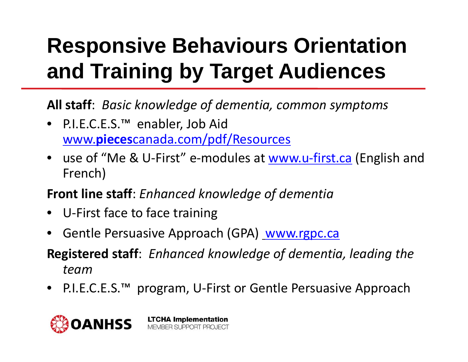### **Responsive Behaviours Orientation and Training by Target Audiences**

**All staff**: *Basic knowledge of dementia, common symptoms*

- P.I.E.C.E.S.™ enabler, Job Aid www.**pieces**[canada.com/pdf/Resources](http://www.piecescanada.com/pdf/Resources)
- use of "Me & U-First" e-modules at <u>www.u-[first.ca](http://www.u-first.ca/)</u> (English and French)
- **Front line staff**: *Enhanced knowledge of dementia*
- •U ‐First face to face training
- Gentle Persuasive Approach (GPA) [www.rgpc.ca](http://www.rgpc.ca/)
- **Registered staff**: *Enhanced knowledge of dementia, leading the team*
- •• P.I.E.C.E.S.™ program, U-First or Gentle Persuasive Approach

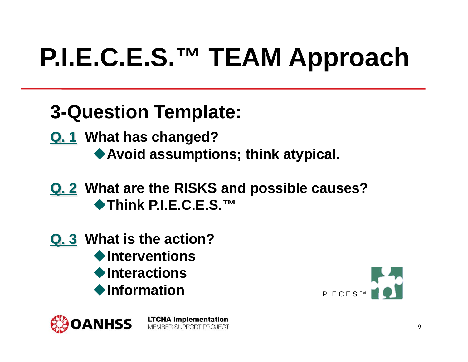# **P.I.E.C.E.S.™ TEAM Approach**

### **3-Question Template:**

- **Q. 1 What has changed? Avoid assumptions; think atypical.**
- **Q. 2 What are the RISKS and possible causes?** ◆Think P.I.E.C.E.S.<sup>™</sup>
- **Q. 3 What is the action?** ◆Interventions ◆Interactions **Information**



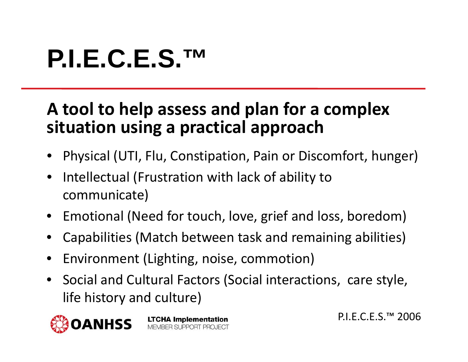### **P.I.E.C.E.S.™**

#### **A tool to help assess and plan for a complex situation using a practical approach**

- •Physical (UTI, Flu, Constipation, Pain or Discomfort, hunger)
- • Intellectual (Frustration with lack of ability to communicate)
- Emotional (Need for touch, love, grief and loss, boredom)
- •Capabilities (Match between task and remaining abilities)
- •Environment (Lighting, noise, commotion)

**LTCHA Implementation** MEMBER SUPPORT PROJECT

•**•** Social and Cultural Factors (Social interactions, care style, life history and culture)



P.I.E.C.E.S.™ 2006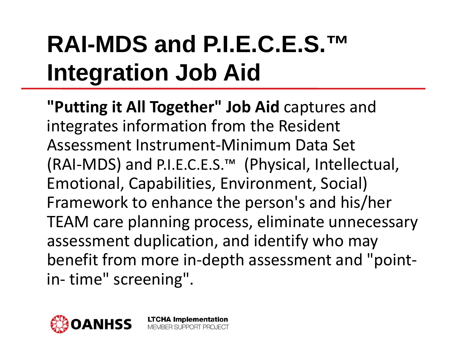### **RAI-MDS and P.I.E.C.E.S.™Integration Job Aid**

**"Putting it All Together" Job Aid** captures and integrates information from the Resident Assessment Instrument ‐Minimum Data Set (RAI ‐MDS) and P.I.E.C.E.S.™ (Physical, Intellectual, Emotional, Capabilities, Environment, Social) Framework to enhance the person's and his/her TEAM care planning process, eliminate unnecessary assessment duplication, and identify who may benefit from more in-depth assessment and "point ‐ in ‐ time" screening".

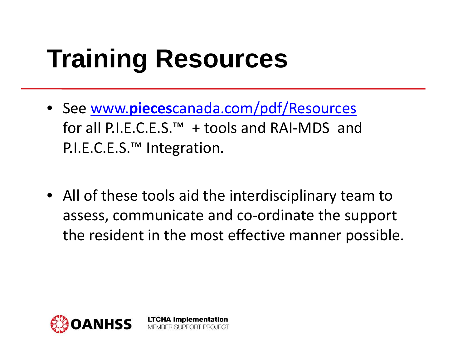### **Training Resources**

• See www.**pieces**[canada.com/pdf/Resources](http://www.piecescanada.com/pdf/Resources) for all P.I.E.C.E.S.™+ tools and RAI ‐MDS andP.I.E.C.E.S.™ Integration.

> **LTCHA Implementation** MEMBER SUPPORT PROJECT

• All of these tools aid the interdisciplinary team to assess, communicate and co ‐ordinate the support the resident in the most effective manner possible.

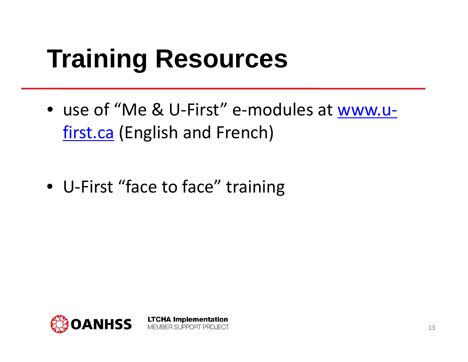### **Training Resources**

• use of "Me & U-First" e-modules at [www.u](http://www.u-first.ca/) ‐[first.ca](http://www.u-first.ca/) (English and French)

• U ‐First "face to face" training

**LTCHA Implementation** 

MEMBER SUPPORT PROJECT

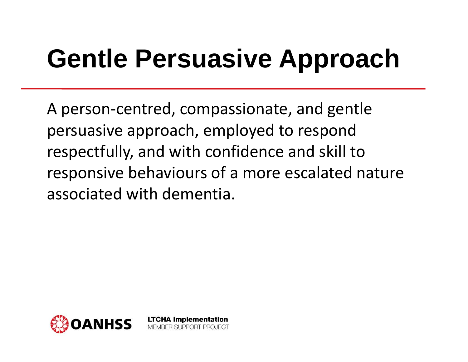## **Gentle Persuasive Approach**

A person ‐centred, compassionate, and gentle persuasive approach, employed to respond respectfully, and with confidence and skill to responsive behaviours of a more escalated nature associated with dementia.

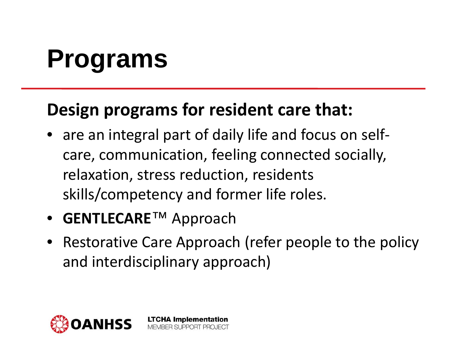# **Programs**

#### **Design programs for resident care that:**

- are an integral part of daily life and focus on self‐ care, communication, feeling connected socially, relaxation, stress reduction, residents skills/competency and former life roles.
- **GENTLECARE**™ Approach
- Restorative Care Approach (refer people to the policy and interdisciplinary approach)

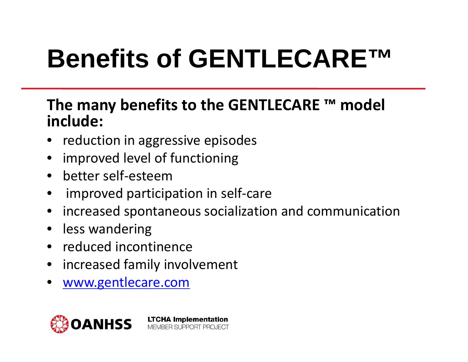# **Benefits of GENTLECARE™**

#### **The many benefits to the GENTLECARE ™ model include:**

- •**•** reduction in aggressive episodes
- •improved level of functioning
- •• better self-esteem
- •improved participation in self ‐care

- •**•** increased spontaneous socialization and communication
- •• less wandering
- •• reduced incontinence
- •**•** increased family involvement
- •[www.gentlecare.com](http://www.gentlecare.com/)

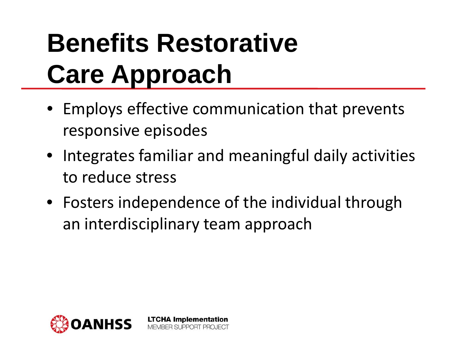## **Benefits Restorative Care Approach**

- Employs effective communication that prevents responsive episodes
- Integrates familiar and meaningful daily activities to reduce stress
- Fosters independence of the individual through an interdisciplinary team approach